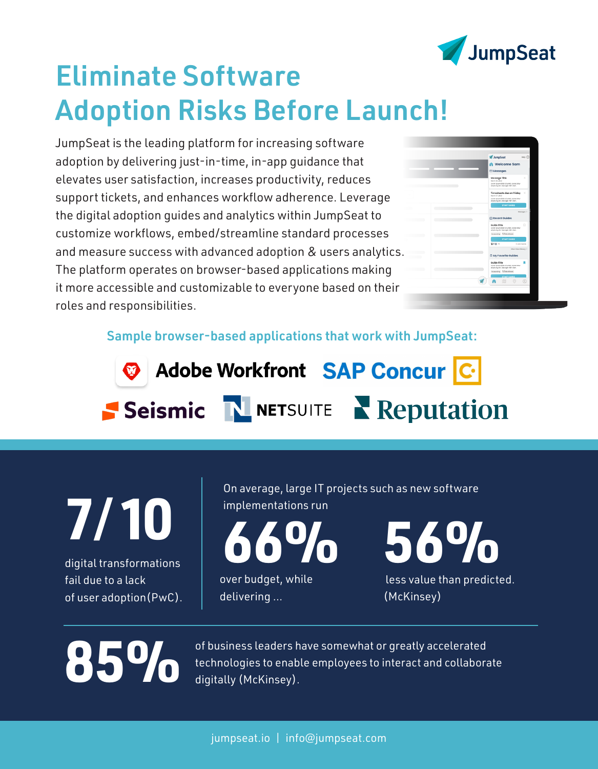

# Eliminate Software Adoption Risks Before Launch!

JumpSeat is the leading platform for increasing software adoption by delivering just-in-time, in-app guidance that elevates user satisfaction, increases productivity, reduces support tickets, and enhances workflow adherence. Leverage the digital adoption guides and analytics within JumpSeat to customize workflows, embed/streamline standard processes and measure success with advanced adoption & users analytics. The platform operates on browser-based applications making it more accessible and customizable to everyone based on their roles and responsibilities.



Sample browser-based applications that work with JumpSeat:



**7**/**10**

digital transformations fail due to a lack of user adoption(PwC). On average, large IT projects such as new software implementations run

over budget, while **66%**

delivering ...

**56%**

 less value than predicted. (McKinsey)

of business leaders have somewhat or greatly accelerated of business leaders have somewhat or greatly accelerated<br>digitally (McKinsey).